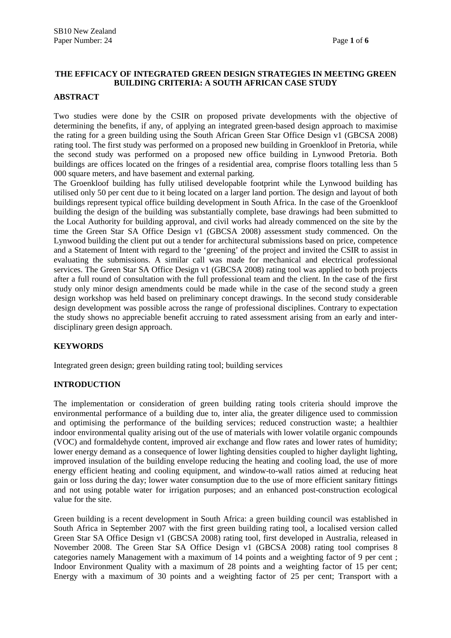# **THE EFFICACY OF INTEGRATED GREEN DESIGN STRATEGIES IN MEETING GREEN BUILDING CRITERIA: A SOUTH AFRICAN CASE STUDY**

#### **ABSTRACT**

Two studies were done by the CSIR on proposed private developments with the objective of determining the benefits, if any, of applying an integrated green-based design approach to maximise the rating for a green building using the South African Green Star Office Design v1 (GBCSA 2008) rating tool. The first study was performed on a proposed new building in Groenkloof in Pretoria, while the second study was performed on a proposed new office building in Lynwood Pretoria. Both buildings are offices located on the fringes of a residential area, comprise floors totalling less than 5 000 square meters, and have basement and external parking.

The Groenkloof building has fully utilised developable footprint while the Lynwood building has utilised only 50 per cent due to it being located on a larger land portion. The design and layout of both buildings represent typical office building development in South Africa. In the case of the Groenkloof building the design of the building was substantially complete, base drawings had been submitted to the Local Authority for building approval, and civil works had already commenced on the site by the time the Green Star SA Office Design v1 (GBCSA 2008) assessment study commenced. On the Lynwood building the client put out a tender for architectural submissions based on price, competence and a Statement of Intent with regard to the 'greening' of the project and invited the CSIR to assist in evaluating the submissions. A similar call was made for mechanical and electrical professional services. The Green Star SA Office Design v1 (GBCSA 2008) rating tool was applied to both projects after a full round of consultation with the full professional team and the client. In the case of the first study only minor design amendments could be made while in the case of the second study a green design workshop was held based on preliminary concept drawings. In the second study considerable design development was possible across the range of professional disciplines. Contrary to expectation the study shows no appreciable benefit accruing to rated assessment arising from an early and interdisciplinary green design approach.

## **KEYWORDS**

Integrated green design; green building rating tool; building services

## **INTRODUCTION**

The implementation or consideration of green building rating tools criteria should improve the environmental performance of a building due to, inter alia, the greater diligence used to commission and optimising the performance of the building services; reduced construction waste; a healthier indoor environmental quality arising out of the use of materials with lower volatile organic compounds (VOC) and formaldehyde content, improved air exchange and flow rates and lower rates of humidity; lower energy demand as a consequence of lower lighting densities coupled to higher daylight lighting, improved insulation of the building envelope reducing the heating and cooling load, the use of more energy efficient heating and cooling equipment, and window-to-wall ratios aimed at reducing heat gain or loss during the day; lower water consumption due to the use of more efficient sanitary fittings and not using potable water for irrigation purposes; and an enhanced post-construction ecological value for the site.

Green building is a recent development in South Africa: a green building council was established in South Africa in September 2007 with the first green building rating tool, a localised version called Green Star SA Office Design v1 (GBCSA 2008) rating tool, first developed in Australia, released in November 2008. The Green Star SA Office Design v1 (GBCSA 2008) rating tool comprises 8 categories namely Management with a maximum of 14 points and a weighting factor of 9 per cent ; Indoor Environment Quality with a maximum of 28 points and a weighting factor of 15 per cent; Energy with a maximum of 30 points and a weighting factor of 25 per cent; Transport with a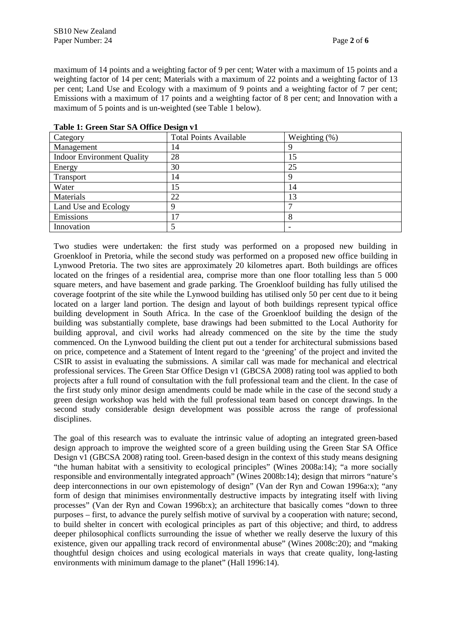maximum of 14 points and a weighting factor of 9 per cent; Water with a maximum of 15 points and a weighting factor of 14 per cent; Materials with a maximum of 22 points and a weighting factor of 13 per cent; Land Use and Ecology with a maximum of 9 points and a weighting factor of 7 per cent; Emissions with a maximum of 17 points and a weighting factor of 8 per cent; and Innovation with a maximum of 5 points and is un-weighted (see Table 1 below).

| Category                          | <b>Total Points Available</b> | Weighting (%) |
|-----------------------------------|-------------------------------|---------------|
| Management                        | 14                            |               |
| <b>Indoor Environment Quality</b> | 28                            | 15            |
| Energy                            | 30                            | 25            |
| Transport                         | 14                            |               |
| Water                             | 15                            | 14            |
| Materials                         | 22                            | 13            |
| Land Use and Ecology              | Q                             |               |
| Emissions                         | ┑                             | 8             |
| Innovation                        |                               |               |

**Table 1: Green Star SA Office Design v1** 

Two studies were undertaken: the first study was performed on a proposed new building in Groenkloof in Pretoria, while the second study was performed on a proposed new office building in Lynwood Pretoria. The two sites are approximately 20 kilometres apart. Both buildings are offices located on the fringes of a residential area, comprise more than one floor totalling less than 5 000 square meters, and have basement and grade parking. The Groenkloof building has fully utilised the coverage footprint of the site while the Lynwood building has utilised only 50 per cent due to it being located on a larger land portion. The design and layout of both buildings represent typical office building development in South Africa. In the case of the Groenkloof building the design of the building was substantially complete, base drawings had been submitted to the Local Authority for building approval, and civil works had already commenced on the site by the time the study commenced. On the Lynwood building the client put out a tender for architectural submissions based on price, competence and a Statement of Intent regard to the 'greening' of the project and invited the CSIR to assist in evaluating the submissions. A similar call was made for mechanical and electrical professional services. The Green Star Office Design v1 (GBCSA 2008) rating tool was applied to both projects after a full round of consultation with the full professional team and the client. In the case of the first study only minor design amendments could be made while in the case of the second study a green design workshop was held with the full professional team based on concept drawings. In the second study considerable design development was possible across the range of professional disciplines.

The goal of this research was to evaluate the intrinsic value of adopting an integrated green-based design approach to improve the weighted score of a green building using the Green Star SA Office Design v1 (GBCSA 2008) rating tool. Green-based design in the context of this study means designing "the human habitat with a sensitivity to ecological principles" (Wines 2008a:14); "a more socially responsible and environmentally integrated approach" (Wines 2008b:14); design that mirrors "nature's deep interconnections in our own epistemology of design" (Van der Ryn and Cowan 1996a:x); "any form of design that minimises environmentally destructive impacts by integrating itself with living processes" (Van der Ryn and Cowan 1996b:x); an architecture that basically comes "down to three purposes – first, to advance the purely selfish motive of survival by a cooperation with nature; second, to build shelter in concert with ecological principles as part of this objective; and third, to address deeper philosophical conflicts surrounding the issue of whether we really deserve the luxury of this existence, given our appalling track record of environmental abuse" (Wines 2008c:20); and "making thoughtful design choices and using ecological materials in ways that create quality, long-lasting environments with minimum damage to the planet" (Hall 1996:14).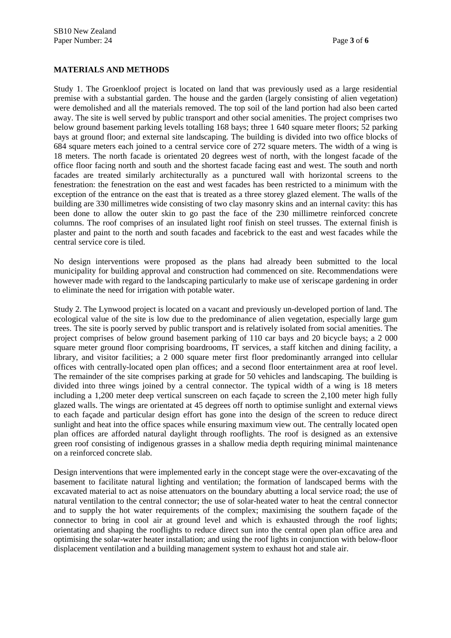## **MATERIALS AND METHODS**

Study 1. The Groenkloof project is located on land that was previously used as a large residential premise with a substantial garden. The house and the garden (largely consisting of alien vegetation) were demolished and all the materials removed. The top soil of the land portion had also been carted away. The site is well served by public transport and other social amenities. The project comprises two below ground basement parking levels totalling 168 bays; three 1 640 square meter floors; 52 parking bays at ground floor; and external site landscaping. The building is divided into two office blocks of 684 square meters each joined to a central service core of 272 square meters. The width of a wing is 18 meters. The north facade is orientated 20 degrees west of north, with the longest facade of the office floor facing north and south and the shortest facade facing east and west. The south and north facades are treated similarly architecturally as a punctured wall with horizontal screens to the fenestration: the fenestration on the east and west facades has been restricted to a minimum with the exception of the entrance on the east that is treated as a three storey glazed element. The walls of the building are 330 millimetres wide consisting of two clay masonry skins and an internal cavity: this has been done to allow the outer skin to go past the face of the 230 millimetre reinforced concrete columns. The roof comprises of an insulated light roof finish on steel trusses. The external finish is plaster and paint to the north and south facades and facebrick to the east and west facades while the central service core is tiled.

No design interventions were proposed as the plans had already been submitted to the local municipality for building approval and construction had commenced on site. Recommendations were however made with regard to the landscaping particularly to make use of xeriscape gardening in order to eliminate the need for irrigation with potable water.

Study 2. The Lynwood project is located on a vacant and previously un-developed portion of land. The ecological value of the site is low due to the predominance of alien vegetation, especially large gum trees. The site is poorly served by public transport and is relatively isolated from social amenities. The project comprises of below ground basement parking of 110 car bays and 20 bicycle bays; a 2 000 square meter ground floor comprising boardrooms, IT services, a staff kitchen and dining facility, a library, and visitor facilities; a 2 000 square meter first floor predominantly arranged into cellular offices with centrally-located open plan offices; and a second floor entertainment area at roof level. The remainder of the site comprises parking at grade for 50 vehicles and landscaping. The building is divided into three wings joined by a central connector. The typical width of a wing is 18 meters including a 1,200 meter deep vertical sunscreen on each façade to screen the 2,100 meter high fully glazed walls. The wings are orientated at 45 degrees off north to optimise sunlight and external views to each façade and particular design effort has gone into the design of the screen to reduce direct sunlight and heat into the office spaces while ensuring maximum view out. The centrally located open plan offices are afforded natural daylight through rooflights. The roof is designed as an extensive green roof consisting of indigenous grasses in a shallow media depth requiring minimal maintenance on a reinforced concrete slab.

Design interventions that were implemented early in the concept stage were the over-excavating of the basement to facilitate natural lighting and ventilation; the formation of landscaped berms with the excavated material to act as noise attenuators on the boundary abutting a local service road; the use of natural ventilation to the central connector; the use of solar-heated water to heat the central connector and to supply the hot water requirements of the complex; maximising the southern façade of the connector to bring in cool air at ground level and which is exhausted through the roof lights; orientating and shaping the rooflights to reduce direct sun into the central open plan office area and optimising the solar-water heater installation; and using the roof lights in conjunction with below-floor displacement ventilation and a building management system to exhaust hot and stale air.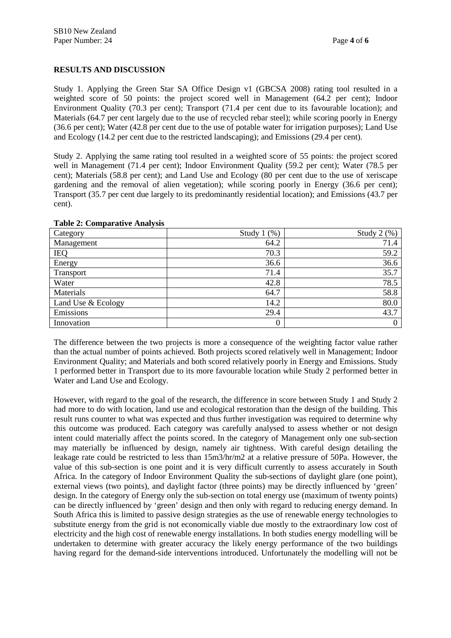# **RESULTS AND DISCUSSION**

Study 1. Applying the Green Star SA Office Design v1 (GBCSA 2008) rating tool resulted in a weighted score of 50 points: the project scored well in Management (64.2 per cent); Indoor Environment Quality (70.3 per cent); Transport (71.4 per cent due to its favourable location); and Materials (64.7 per cent largely due to the use of recycled rebar steel); while scoring poorly in Energy (36.6 per cent); Water (42.8 per cent due to the use of potable water for irrigation purposes); Land Use and Ecology (14.2 per cent due to the restricted landscaping); and Emissions (29.4 per cent).

Study 2. Applying the same rating tool resulted in a weighted score of 55 points: the project scored well in Management (71.4 per cent); Indoor Environment Quality (59.2 per cent); Water (78.5 per cent); Materials (58.8 per cent); and Land Use and Ecology (80 per cent due to the use of xeriscape gardening and the removal of alien vegetation); while scoring poorly in Energy (36.6 per cent); Transport (35.7 per cent due largely to its predominantly residential location); and Emissions (43.7 per cent).

| Category           | Study $1$ $(\%)$ | Study $2$ $(\%)$ |
|--------------------|------------------|------------------|
| Management         | 64.2             | 71.4             |
| <b>IEQ</b>         | 70.3             | 59.2             |
| Energy             | 36.6             | 36.6             |
| <b>Transport</b>   | 71.4             | 35.7             |
| Water              | 42.8             | 78.5             |
| Materials          | 64.7             | 58.8             |
| Land Use & Ecology | 14.2             | 80.0             |
| Emissions          | 29.4             | 43.7             |
| Innovation         | $\boldsymbol{0}$ | $\boldsymbol{0}$ |

#### **Table 2: Comparative Analysis**

The difference between the two projects is more a consequence of the weighting factor value rather than the actual number of points achieved. Both projects scored relatively well in Management; Indoor Environment Quality; and Materials and both scored relatively poorly in Energy and Emissions. Study 1 performed better in Transport due to its more favourable location while Study 2 performed better in Water and Land Use and Ecology.

However, with regard to the goal of the research, the difference in score between Study 1 and Study 2 had more to do with location, land use and ecological restoration than the design of the building. This result runs counter to what was expected and thus further investigation was required to determine why this outcome was produced. Each category was carefully analysed to assess whether or not design intent could materially affect the points scored. In the category of Management only one sub-section may materially be influenced by design, namely air tightness. With careful design detailing the leakage rate could be restricted to less than 15m3/hr/m2 at a relative pressure of 50Pa. However, the value of this sub-section is one point and it is very difficult currently to assess accurately in South Africa. In the category of Indoor Environment Quality the sub-sections of daylight glare (one point), external views (two points), and daylight factor (three points) may be directly influenced by 'green' design. In the category of Energy only the sub-section on total energy use (maximum of twenty points) can be directly influenced by 'green' design and then only with regard to reducing energy demand. In South Africa this is limited to passive design strategies as the use of renewable energy technologies to substitute energy from the grid is not economically viable due mostly to the extraordinary low cost of electricity and the high cost of renewable energy installations. In both studies energy modelling will be undertaken to determine with greater accuracy the likely energy performance of the two buildings having regard for the demand-side interventions introduced. Unfortunately the modelling will not be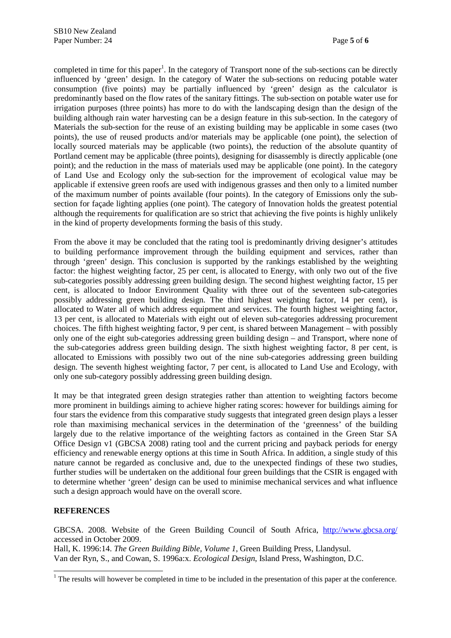completed in time for this paper<sup>1</sup>. In the category of Transport none of the sub-sections can be directly influenced by 'green' design. In the category of Water the sub-sections on reducing potable water consumption (five points) may be partially influenced by 'green' design as the calculator is predominantly based on the flow rates of the sanitary fittings. The sub-section on potable water use for irrigation purposes (three points) has more to do with the landscaping design than the design of the building although rain water harvesting can be a design feature in this sub-section. In the category of Materials the sub-section for the reuse of an existing building may be applicable in some cases (two points), the use of reused products and/or materials may be applicable (one point), the selection of locally sourced materials may be applicable (two points), the reduction of the absolute quantity of Portland cement may be applicable (three points), designing for disassembly is directly applicable (one point); and the reduction in the mass of materials used may be applicable (one point). In the category of Land Use and Ecology only the sub-section for the improvement of ecological value may be applicable if extensive green roofs are used with indigenous grasses and then only to a limited number of the maximum number of points available (four points). In the category of Emissions only the subsection for façade lighting applies (one point). The category of Innovation holds the greatest potential although the requirements for qualification are so strict that achieving the five points is highly unlikely in the kind of property developments forming the basis of this study.

From the above it may be concluded that the rating tool is predominantly driving designer's attitudes to building performance improvement through the building equipment and services, rather than through 'green' design. This conclusion is supported by the rankings established by the weighting factor: the highest weighting factor, 25 per cent, is allocated to Energy, with only two out of the five sub-categories possibly addressing green building design. The second highest weighting factor, 15 per cent, is allocated to Indoor Environment Quality with three out of the seventeen sub-categories possibly addressing green building design. The third highest weighting factor, 14 per cent), is allocated to Water all of which address equipment and services. The fourth highest weighting factor, 13 per cent, is allocated to Materials with eight out of eleven sub-categories addressing procurement choices. The fifth highest weighting factor, 9 per cent, is shared between Management – with possibly only one of the eight sub-categories addressing green building design – and Transport, where none of the sub-categories address green building design. The sixth highest weighting factor, 8 per cent, is allocated to Emissions with possibly two out of the nine sub-categories addressing green building design. The seventh highest weighting factor, 7 per cent, is allocated to Land Use and Ecology, with only one sub-category possibly addressing green building design.

It may be that integrated green design strategies rather than attention to weighting factors become more prominent in buildings aiming to achieve higher rating scores: however for buildings aiming for four stars the evidence from this comparative study suggests that integrated green design plays a lesser role than maximising mechanical services in the determination of the 'greenness' of the building largely due to the relative importance of the weighting factors as contained in the Green Star SA Office Design v1 (GBCSA 2008) rating tool and the current pricing and payback periods for energy efficiency and renewable energy options at this time in South Africa. In addition, a single study of this nature cannot be regarded as conclusive and, due to the unexpected findings of these two studies, further studies will be undertaken on the additional four green buildings that the CSIR is engaged with to determine whether 'green' design can be used to minimise mechanical services and what influence such a design approach would have on the overall score.

# **REFERENCES**

GBCSA. 2008. Website of the Green Building Council of South Africa, http://www.gbcsa.org/ accessed in October 2009. Hall, K. 1996:14. *The Green Building Bible, Volume 1*, Green Building Press, Llandysul. Van der Ryn, S., and Cowan, S. 1996a:x. *Ecological Design*, Island Press, Washington, D.C.

<sup>&</sup>lt;sup>1</sup> The results will however be completed in time to be included in the presentation of this paper at the conference.